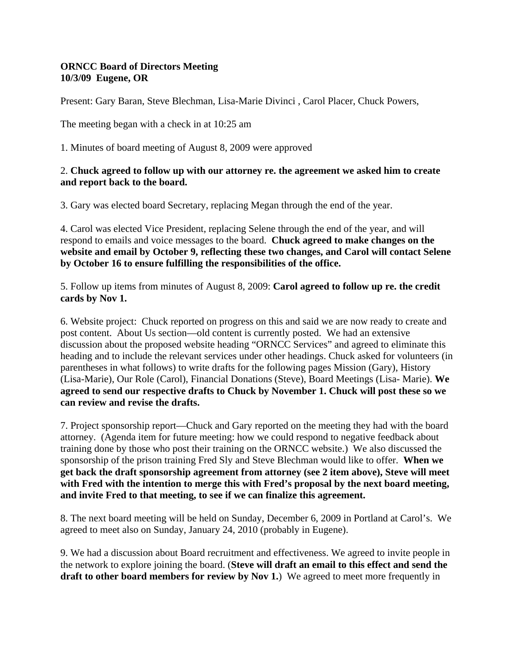## **ORNCC Board of Directors Meeting 10/3/09 Eugene, OR**

Present: Gary Baran, Steve Blechman, Lisa-Marie Divinci , Carol Placer, Chuck Powers,

The meeting began with a check in at 10:25 am

1. Minutes of board meeting of August 8, 2009 were approved

## 2. **Chuck agreed to follow up with our attorney re. the agreement we asked him to create and report back to the board.**

3. Gary was elected board Secretary, replacing Megan through the end of the year.

4. Carol was elected Vice President, replacing Selene through the end of the year, and will respond to emails and voice messages to the board. **Chuck agreed to make changes on the website and email by October 9, reflecting these two changes, and Carol will contact Selene by October 16 to ensure fulfilling the responsibilities of the office.** 

5. Follow up items from minutes of August 8, 2009: **Carol agreed to follow up re. the credit cards by Nov 1.** 

6. Website project: Chuck reported on progress on this and said we are now ready to create and post content. About Us section—old content is currently posted. We had an extensive discussion about the proposed website heading "ORNCC Services" and agreed to eliminate this heading and to include the relevant services under other headings. Chuck asked for volunteers (in parentheses in what follows) to write drafts for the following pages Mission (Gary), History (Lisa-Marie), Our Role (Carol), Financial Donations (Steve), Board Meetings (Lisa- Marie). **We agreed to send our respective drafts to Chuck by November 1. Chuck will post these so we can review and revise the drafts.** 

7. Project sponsorship report—Chuck and Gary reported on the meeting they had with the board attorney. (Agenda item for future meeting: how we could respond to negative feedback about training done by those who post their training on the ORNCC website.) We also discussed the sponsorship of the prison training Fred Sly and Steve Blechman would like to offer. **When we get back the draft sponsorship agreement from attorney (see 2 item above), Steve will meet with Fred with the intention to merge this with Fred's proposal by the next board meeting, and invite Fred to that meeting, to see if we can finalize this agreement.** 

8. The next board meeting will be held on Sunday, December 6, 2009 in Portland at Carol's. We agreed to meet also on Sunday, January 24, 2010 (probably in Eugene).

9. We had a discussion about Board recruitment and effectiveness. We agreed to invite people in the network to explore joining the board. (**Steve will draft an email to this effect and send the draft to other board members for review by Nov 1.**) We agreed to meet more frequently in